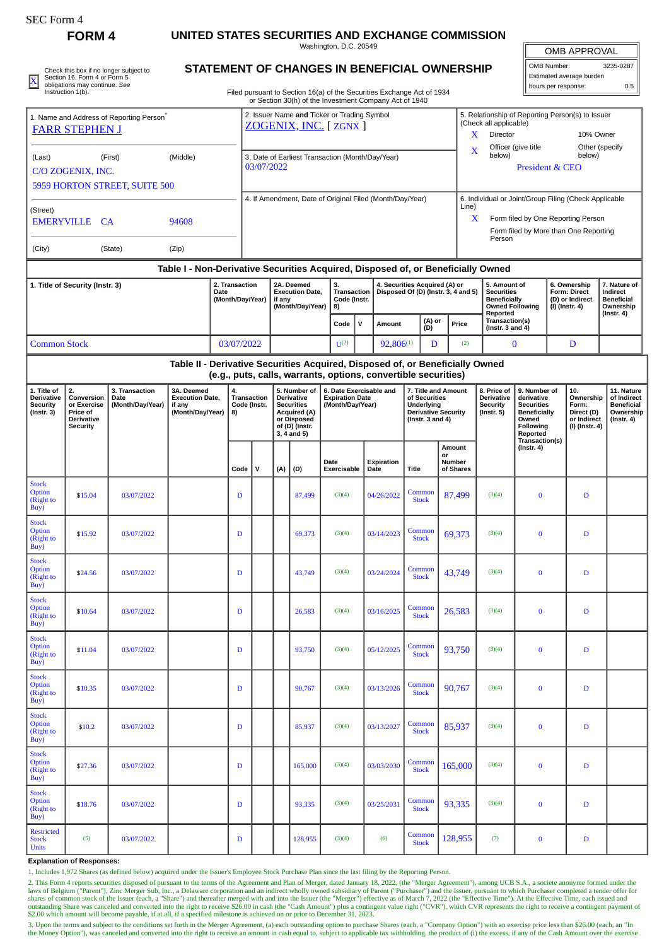| SEC Form 4                                                                    |                                                                                                                                   |                                              |                                                                                  |             |                                                                     |                                                                    |                                                                                                                               |              |                                                                                                                                  |     |                                                                      |                        |                                                   |                                                                                                |                                                                                                           |                                                                                                                            |                          |                                                                                |                                                                                 |  |
|-------------------------------------------------------------------------------|-----------------------------------------------------------------------------------------------------------------------------------|----------------------------------------------|----------------------------------------------------------------------------------|-------------|---------------------------------------------------------------------|--------------------------------------------------------------------|-------------------------------------------------------------------------------------------------------------------------------|--------------|----------------------------------------------------------------------------------------------------------------------------------|-----|----------------------------------------------------------------------|------------------------|---------------------------------------------------|------------------------------------------------------------------------------------------------|-----------------------------------------------------------------------------------------------------------|----------------------------------------------------------------------------------------------------------------------------|--------------------------|--------------------------------------------------------------------------------|---------------------------------------------------------------------------------|--|
|                                                                               | <b>FORM 4</b>                                                                                                                     |                                              |                                                                                  |             |                                                                     |                                                                    |                                                                                                                               |              | UNITED STATES SECURITIES AND EXCHANGE COMMISSION<br>Washington, D.C. 20549                                                       |     |                                                                      |                        |                                                   |                                                                                                |                                                                                                           |                                                                                                                            |                          | OMB APPROVAL                                                                   |                                                                                 |  |
| X                                                                             | Check this box if no longer subject to<br>Section 16. Form 4 or Form 5<br>obligations may continue. See                           | STATEMENT OF CHANGES IN BENEFICIAL OWNERSHIP |                                                                                  |             |                                                                     |                                                                    |                                                                                                                               |              |                                                                                                                                  |     |                                                                      |                        |                                                   | OMB Number:<br>hours per response:                                                             |                                                                                                           |                                                                                                                            | Estimated average burden | 3235-0287<br>0.5                                                               |                                                                                 |  |
|                                                                               | Instruction 1(b).                                                                                                                 |                                              |                                                                                  |             |                                                                     |                                                                    |                                                                                                                               |              | Filed pursuant to Section 16(a) of the Securities Exchange Act of 1934<br>or Section 30(h) of the Investment Company Act of 1940 |     |                                                                      |                        |                                                   |                                                                                                |                                                                                                           |                                                                                                                            |                          |                                                                                |                                                                                 |  |
| 1. Name and Address of Reporting Person <sup>1</sup><br><b>FARR STEPHEN J</b> |                                                                                                                                   |                                              |                                                                                  |             | 2. Issuer Name and Ticker or Trading Symbol<br>ZOGENIX, INC. [ZGNX] |                                                                    |                                                                                                                               |              |                                                                                                                                  |     |                                                                      |                        |                                                   |                                                                                                | 5. Relationship of Reporting Person(s) to Issuer<br>(Check all applicable)<br>Director<br>X.<br>10% Owner |                                                                                                                            |                          |                                                                                |                                                                                 |  |
| (Middle)<br>(Last)<br>(First)<br>C/O ZOGENIX, INC.                            |                                                                                                                                   |                                              |                                                                                  |             | 3. Date of Earliest Transaction (Month/Day/Year)<br>03/07/2022      |                                                                    |                                                                                                                               |              |                                                                                                                                  |     |                                                                      |                        |                                                   |                                                                                                | Other (specify<br>Officer (give title<br>X<br>below)<br>below)<br>President & CEO                         |                                                                                                                            |                          |                                                                                |                                                                                 |  |
|                                                                               |                                                                                                                                   | 5959 HORTON STREET, SUITE 500                |                                                                                  |             |                                                                     |                                                                    |                                                                                                                               |              |                                                                                                                                  |     |                                                                      |                        |                                                   |                                                                                                | 6. Individual or Joint/Group Filing (Check Applicable                                                     |                                                                                                                            |                          |                                                                                |                                                                                 |  |
| (Street)<br><b>EMERYVILLE</b><br>94608<br><b>CA</b>                           |                                                                                                                                   |                                              |                                                                                  |             | 4. If Amendment, Date of Original Filed (Month/Day/Year)            |                                                                    |                                                                                                                               |              |                                                                                                                                  |     |                                                                      |                        |                                                   |                                                                                                | Line)<br>X<br>Form filed by One Reporting Person<br>Form filed by More than One Reporting<br>Person       |                                                                                                                            |                          |                                                                                |                                                                                 |  |
| (City)                                                                        |                                                                                                                                   | (State)                                      | (Zip)                                                                            |             |                                                                     |                                                                    |                                                                                                                               |              |                                                                                                                                  |     |                                                                      |                        |                                                   |                                                                                                |                                                                                                           |                                                                                                                            |                          |                                                                                |                                                                                 |  |
|                                                                               |                                                                                                                                   |                                              | Table I - Non-Derivative Securities Acquired, Disposed of, or Beneficially Owned |             |                                                                     |                                                                    |                                                                                                                               |              |                                                                                                                                  |     |                                                                      |                        |                                                   |                                                                                                |                                                                                                           |                                                                                                                            |                          |                                                                                |                                                                                 |  |
| 2. Transaction<br>1. Title of Security (Instr. 3)<br>Date<br>(Month/Day/Year) |                                                                                                                                   |                                              |                                                                                  |             |                                                                     | 2A. Deemed<br><b>Execution Date,</b><br>if any<br>(Month/Day/Year) |                                                                                                                               | 3.<br>8)     | <b>Transaction</b><br>Code (Instr.                                                                                               |     | 4. Securities Acquired (A) or<br>Disposed Of (D) (Instr. 3, 4 and 5) |                        |                                                   | 5. Amount of<br><b>Securities</b><br><b>Beneficially</b><br><b>Owned Following</b><br>Reported |                                                                                                           | 6. Ownership<br><b>Form: Direct</b><br>(D) or Indirect<br>$(I)$ (Instr. 4)                                                 |                          | 7. Nature of<br>Indirect<br><b>Beneficial</b><br>Ownership<br>$($ Instr. 4 $)$ |                                                                                 |  |
|                                                                               |                                                                                                                                   |                                              |                                                                                  |             |                                                                     |                                                                    | Code                                                                                                                          | $\mathsf{v}$ | Amount                                                                                                                           | (D) | (A) or<br>Price                                                      |                        | Transaction(s)<br>(Instr. $3$ and $4$ )           |                                                                                                |                                                                                                           |                                                                                                                            |                          |                                                                                |                                                                                 |  |
| <b>Common Stock</b><br>03/07/2022                                             |                                                                                                                                   |                                              |                                                                                  |             |                                                                     |                                                                    |                                                                                                                               |              | $U^{(2)}$                                                                                                                        |     | $92,806^{(1)}$                                                       |                        | D                                                 | (2)                                                                                            | $\mathbf{0}$                                                                                              |                                                                                                                            |                          | D                                                                              |                                                                                 |  |
|                                                                               |                                                                                                                                   |                                              | Table II - Derivative Securities Acquired, Disposed of, or Beneficially Owned    |             |                                                                     |                                                                    |                                                                                                                               |              | (e.g., puts, calls, warrants, options, convertible securities)                                                                   |     |                                                                      |                        |                                                   |                                                                                                |                                                                                                           |                                                                                                                            |                          |                                                                                |                                                                                 |  |
| 1. Title of<br><b>Derivative</b><br><b>Security</b><br>$($ Instr. 3 $)$       | 2.<br>3. Transaction<br>Conversion<br>Date<br>or Exercise<br>(Month/Day/Year)<br>Price of<br><b>Derivative</b><br><b>Security</b> |                                              | 3A. Deemed<br>4.<br><b>Execution Date,</b><br>if any<br>(Month/Day/Year)<br>8)   |             | <b>Transaction</b><br>Code (Instr.                                  |                                                                    | 5. Number of<br><b>Derivative</b><br><b>Securities</b><br><b>Acquired (A)</b><br>or Disposed<br>of (D) (Instr.<br>3, 4 and 5) |              | 6. Date Exercisable and<br><b>Expiration Date</b><br>(Month/Day/Year)                                                            |     | of Securities<br>Underlying<br>(Instr. $3$ and $4$ )                 |                        | 7. Title and Amount<br><b>Derivative Security</b> |                                                                                                | 8. Price of<br><b>Derivative</b><br><b>Security</b><br>$($ Instr. 5 $)$                                   | 9. Number of<br>derivative<br><b>Securities</b><br><b>Beneficially</b><br>Owned<br>Following<br>Reported<br>Transaction(s) |                          | 10.<br>Ownership<br>Form:<br>Direct (D)<br>or Indirect<br>$(1)$ (Instr. 4)     | 11. Nature<br>of Indirect<br><b>Beneficial</b><br>Ownership<br>$($ Instr. 4 $)$ |  |
|                                                                               |                                                                                                                                   |                                              |                                                                                  | Code        | $\mathsf{v}$                                                        |                                                                    | (A)                                                                                                                           | (D)          | Date<br>Exercisable                                                                                                              |     | Expiration<br>Date                                                   | <b>Title</b>           | or                                                | Amount<br>Number<br>of Shares                                                                  |                                                                                                           | $($ Instr. 4 $)$                                                                                                           |                          |                                                                                |                                                                                 |  |
| <b>Stock</b><br>Option<br>(Right to<br>Buy)                                   | \$15.04                                                                                                                           | 03/07/2022                                   |                                                                                  | D           |                                                                     |                                                                    |                                                                                                                               | 87,499       | (3)(4)                                                                                                                           |     | 04/26/2022                                                           | Common<br><b>Stock</b> |                                                   | 87,499                                                                                         | (3)(4)                                                                                                    | $\bf{0}$                                                                                                                   |                          | $\mathbf D$                                                                    |                                                                                 |  |
| <b>Stock</b><br>Option<br>(Right to<br>Buy)                                   | \$15.92                                                                                                                           | 03/07/2022                                   |                                                                                  | D           |                                                                     |                                                                    |                                                                                                                               | 69,373       | (3)(4)                                                                                                                           |     | 03/14/2023                                                           | Common<br><b>Stock</b> |                                                   | 69,373                                                                                         | (3)(4)                                                                                                    | $\bf{0}$                                                                                                                   |                          | $\mathbf D$                                                                    |                                                                                 |  |
| <b>Stock</b><br>Option<br>(Right to<br>Buy)                                   | \$24.56                                                                                                                           | 03/07/2022                                   |                                                                                  | $\mathbf D$ |                                                                     |                                                                    | 43,749                                                                                                                        |              | (3)(4)                                                                                                                           |     | 03/24/2024                                                           | Common<br><b>Stock</b> |                                                   | 43.749                                                                                         | (3)(4)                                                                                                    | $\bf{0}$                                                                                                                   |                          | $\mathbf D$                                                                    |                                                                                 |  |
| <b>Stock</b><br>Option<br>(Right to<br>Buy)                                   | \$10.64                                                                                                                           | 03/07/2022                                   |                                                                                  | D           |                                                                     |                                                                    |                                                                                                                               | 26,583       | (3)(4)                                                                                                                           |     | 03/16/2025                                                           | Common<br><b>Stock</b> |                                                   | 26,583                                                                                         | (3)(4)                                                                                                    | $\bf{0}$                                                                                                                   |                          | $\mathbf D$                                                                    |                                                                                 |  |
| <b>Stock</b><br>Option<br>(Right to<br>Buy)                                   | \$11.04                                                                                                                           | 03/07/2022                                   |                                                                                  | D           |                                                                     |                                                                    |                                                                                                                               | 93,750       | (3)(4)                                                                                                                           |     | 05/12/2025                                                           | Common<br><b>Stock</b> |                                                   | 93.750                                                                                         | (3)(4)                                                                                                    | $\bf{0}$                                                                                                                   |                          | $\mathbf D$                                                                    |                                                                                 |  |
| <b>Stock</b><br>Option<br>(Right to<br>Buy)                                   | \$10.35                                                                                                                           | 03/07/2022                                   |                                                                                  | D           |                                                                     |                                                                    |                                                                                                                               | 90,767       | (3)(4)                                                                                                                           |     | 03/13/2026                                                           | Common<br><b>Stock</b> |                                                   | 90,767                                                                                         | (3)(4)                                                                                                    | $\bf{0}$                                                                                                                   |                          | $\mathbf D$                                                                    |                                                                                 |  |
| <b>Stock</b><br>Option<br>(Right to<br>Buy)                                   | \$10.2\$                                                                                                                          | 03/07/2022                                   |                                                                                  | D           |                                                                     |                                                                    |                                                                                                                               | 85,937       | (3)(4)                                                                                                                           |     | 03/13/2027                                                           | Common<br><b>Stock</b> |                                                   | 85,937                                                                                         | (3)(4)                                                                                                    | $\bf{0}$                                                                                                                   |                          | $\mathbf D$                                                                    |                                                                                 |  |
| <b>Stock</b><br>Option<br>(Right to<br>Buy)                                   | \$27.36                                                                                                                           | 03/07/2022                                   |                                                                                  | D           |                                                                     |                                                                    |                                                                                                                               | 165,000      | (3)(4)                                                                                                                           |     | 03/03/2030                                                           | Common<br><b>Stock</b> |                                                   | 165,000                                                                                        | (3)(4)                                                                                                    | $\bf{0}$                                                                                                                   |                          | D                                                                              |                                                                                 |  |
| <b>Stock</b><br>Option<br>(Right to<br>Buy)                                   | \$18.76                                                                                                                           | 03/07/2022                                   |                                                                                  | D           |                                                                     |                                                                    |                                                                                                                               | 93,335       | (3)(4)                                                                                                                           |     | 03/25/2031                                                           | Common<br><b>Stock</b> |                                                   | 93,335                                                                                         | (3)(4)                                                                                                    | $\bf{0}$                                                                                                                   |                          | D                                                                              |                                                                                 |  |
| <b>Restricted</b><br><b>Stock</b><br>Units                                    | (5)                                                                                                                               | 03/07/2022                                   |                                                                                  | D           |                                                                     |                                                                    |                                                                                                                               | 128,955      | (3)(4)                                                                                                                           |     | (6)                                                                  | Common<br><b>Stock</b> |                                                   | 128,955                                                                                        | (7)                                                                                                       | $\bf{0}$                                                                                                                   |                          | $\mathbf D$                                                                    |                                                                                 |  |

**Explanation of Responses:**

1. Includes 1,972 Shares (as defined below) acquired under the Issuer's Employee Stock Purchase Plan since the last filing by the Reporting Person.

2. This Form 4 reports securities disposed of pursuant to the terms of the Agreement and Plan of Merger, dated January 18, 2022, (the "Merger Agreement"), among UCB S.A., a societe anonyme formed under the laws of Belgium

3. Upon the terms and subject to the conditions set forth in the Merger Agreement, (a) each outstanding option to purchase Shares (each, a "Company Option") with an exercise price less than \$26.00 (each, an "In<br>the Money O